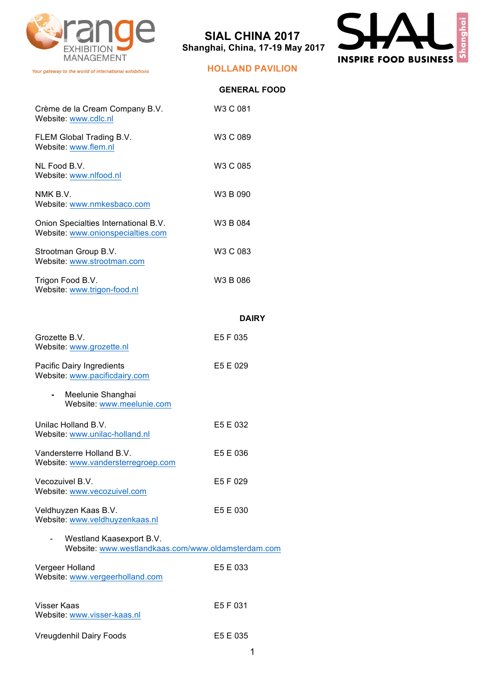

Your gateway to the world of international exhibitions

# **SIAL CHINA 2017 Shanghai, China, 17-19 May 2017**



### **HOLLAND PAVILION**

|                                                                           | <b>GENERAL FOOD</b> |
|---------------------------------------------------------------------------|---------------------|
| Crème de la Cream Company B.V.<br>Website: www.cdlc.nl                    | W3 C 081            |
| FLEM Global Trading B.V.<br>Website: www.flem.nl                          | W3 C 089            |
| NL Food B.V.<br>Website: www.nlfood.nl                                    | W3 C 085            |
| NMK B.V.<br>Website: www.nmkesbaco.com                                    | W3 B 090            |
| Onion Specialties International B.V.<br>Website: www.onionspecialties.com | W3 B 084            |
| Strootman Group B.V.<br>Website: www.strootman.com                        | W3 C 083            |
| Trigon Food B.V.<br>Website: www.trigon-food.nl                           | W3 B 086            |
|                                                                           | <b>DAIRY</b>        |
| $C_{\text{max}} = \mu \circ \mathcal{L}$                                  | EE E AOE            |

| Grozette B.V.                 | E5 F 035 |
|-------------------------------|----------|
| Website: www.grozette.nl      |          |
|                               |          |
| Pacific Dairy Ingredients     | E5 E 029 |
| Website: www.pacificdairy.com |          |

- **-** Meelunie Shanghai Website: www.meelunie.com
- Unilac Holland B.V. E5 E 032 Website: www.unilac-holland.nl
- Vandersterre Holland B.V. E5 E 036 Website: www.vandersterregroep.com Vecozuivel B.V. **E5 F 029** Website: www.vecozuivel.com
- Veldhuyzen Kaas B.V. E5 E 030 Website: www.veldhuyzenkaas.nl
- Westland Kaasexport B.V. Website: www.westlandkaas.com/www.oldamsterdam.com Vergeer Holland E5 E 033 Website: www.vergeerholland.com
- Visser Kaas **E5 F 031** Website: www.visser-kaas.nl